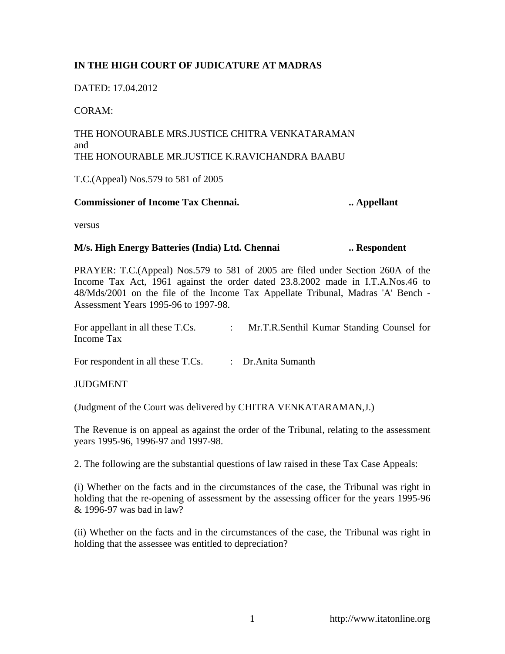## **IN THE HIGH COURT OF JUDICATURE AT MADRAS**

DATED: 17.04.2012

CORAM:

## THE HONOURABLE MRS.JUSTICE CHITRA VENKATARAMAN and THE HONOURABLE MR.JUSTICE K.RAVICHANDRA BAABU

T.C.(Appeal) Nos.579 to 581 of 2005

## **Commissioner of Income Tax Chennai. ... ... Appellant ... Appellant**

versus

## **M/s. High Energy Batteries (India) Ltd. Chennai ... Respondent**

PRAYER: T.C.(Appeal) Nos.579 to 581 of 2005 are filed under Section 260A of the Income Tax Act, 1961 against the order dated 23.8.2002 made in I.T.A.Nos.46 to 48/Mds/2001 on the file of the Income Tax Appellate Tribunal, Madras 'A' Bench - Assessment Years 1995-96 to 1997-98.

| For appellant in all these T.Cs. | Mr.T.R.Senthil Kumar Standing Counsel for |
|----------------------------------|-------------------------------------------|
| Income Tax                       |                                           |

For respondent in all these T.Cs. : Dr.Anita Sumanth

**JUDGMENT** 

(Judgment of the Court was delivered by CHITRA VENKATARAMAN,J.)

The Revenue is on appeal as against the order of the Tribunal, relating to the assessment years 1995-96, 1996-97 and 1997-98.

2. The following are the substantial questions of law raised in these Tax Case Appeals:

(i) Whether on the facts and in the circumstances of the case, the Tribunal was right in holding that the re-opening of assessment by the assessing officer for the years 1995-96 & 1996-97 was bad in law?

(ii) Whether on the facts and in the circumstances of the case, the Tribunal was right in holding that the assessee was entitled to depreciation?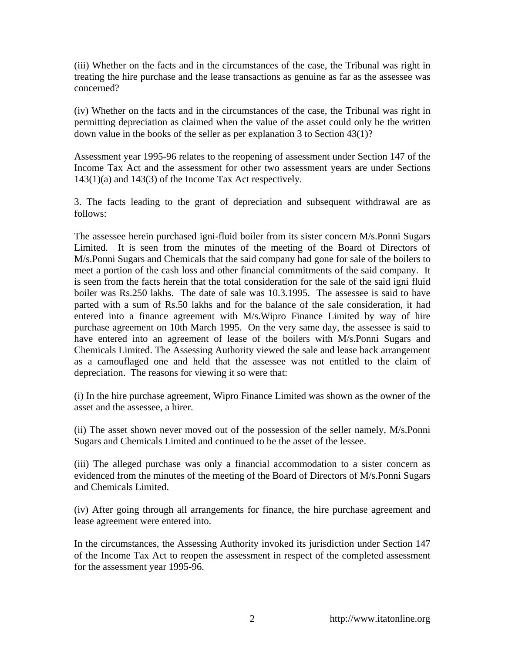(iii) Whether on the facts and in the circumstances of the case, the Tribunal was right in treating the hire purchase and the lease transactions as genuine as far as the assessee was concerned?

(iv) Whether on the facts and in the circumstances of the case, the Tribunal was right in permitting depreciation as claimed when the value of the asset could only be the written down value in the books of the seller as per explanation 3 to Section 43(1)?

Assessment year 1995-96 relates to the reopening of assessment under Section 147 of the Income Tax Act and the assessment for other two assessment years are under Sections 143(1)(a) and 143(3) of the Income Tax Act respectively.

3. The facts leading to the grant of depreciation and subsequent withdrawal are as follows:

The assessee herein purchased igni-fluid boiler from its sister concern M/s.Ponni Sugars Limited. It is seen from the minutes of the meeting of the Board of Directors of M/s.Ponni Sugars and Chemicals that the said company had gone for sale of the boilers to meet a portion of the cash loss and other financial commitments of the said company. It is seen from the facts herein that the total consideration for the sale of the said igni fluid boiler was Rs.250 lakhs. The date of sale was 10.3.1995. The assessee is said to have parted with a sum of Rs.50 lakhs and for the balance of the sale consideration, it had entered into a finance agreement with M/s.Wipro Finance Limited by way of hire purchase agreement on 10th March 1995. On the very same day, the assessee is said to have entered into an agreement of lease of the boilers with M/s.Ponni Sugars and Chemicals Limited. The Assessing Authority viewed the sale and lease back arrangement as a camouflaged one and held that the assessee was not entitled to the claim of depreciation. The reasons for viewing it so were that:

(i) In the hire purchase agreement, Wipro Finance Limited was shown as the owner of the asset and the assessee, a hirer.

(ii) The asset shown never moved out of the possession of the seller namely, M/s.Ponni Sugars and Chemicals Limited and continued to be the asset of the lessee.

(iii) The alleged purchase was only a financial accommodation to a sister concern as evidenced from the minutes of the meeting of the Board of Directors of M/s.Ponni Sugars and Chemicals Limited.

(iv) After going through all arrangements for finance, the hire purchase agreement and lease agreement were entered into.

In the circumstances, the Assessing Authority invoked its jurisdiction under Section 147 of the Income Tax Act to reopen the assessment in respect of the completed assessment for the assessment year 1995-96.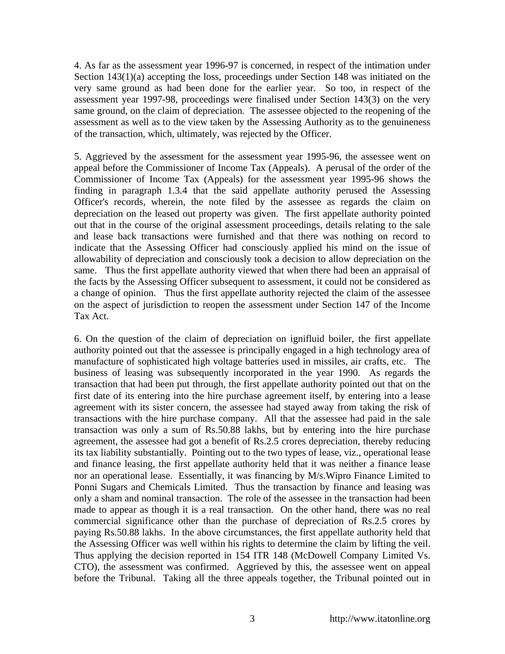4. As far as the assessment year 1996-97 is concerned, in respect of the intimation under Section 143(1)(a) accepting the loss, proceedings under Section 148 was initiated on the very same ground as had been done for the earlier year. So too, in respect of the assessment year 1997-98, proceedings were finalised under Section 143(3) on the very same ground, on the claim of depreciation. The assessee objected to the reopening of the assessment as well as to the view taken by the Assessing Authority as to the genuineness of the transaction, which, ultimately, was rejected by the Officer.

5. Aggrieved by the assessment for the assessment year 1995-96, the assessee went on appeal before the Commissioner of Income Tax (Appeals). A perusal of the order of the Commissioner of Income Tax (Appeals) for the assessment year 1995-96 shows the finding in paragraph 1.3.4 that the said appellate authority perused the Assessing Officer's records, wherein, the note filed by the assessee as regards the claim on depreciation on the leased out property was given. The first appellate authority pointed out that in the course of the original assessment proceedings, details relating to the sale and lease back transactions were furnished and that there was nothing on record to indicate that the Assessing Officer had consciously applied his mind on the issue of allowability of depreciation and consciously took a decision to allow depreciation on the same. Thus the first appellate authority viewed that when there had been an appraisal of the facts by the Assessing Officer subsequent to assessment, it could not be considered as a change of opinion. Thus the first appellate authority rejected the claim of the assessee on the aspect of jurisdiction to reopen the assessment under Section 147 of the Income Tax Act.

6. On the question of the claim of depreciation on ignifluid boiler, the first appellate authority pointed out that the assessee is principally engaged in a high technology area of manufacture of sophisticated high voltage batteries used in missiles, air crafts, etc. The business of leasing was subsequently incorporated in the year 1990. As regards the transaction that had been put through, the first appellate authority pointed out that on the first date of its entering into the hire purchase agreement itself, by entering into a lease agreement with its sister concern, the assessee had stayed away from taking the risk of transactions with the hire purchase company. All that the assessee had paid in the sale transaction was only a sum of Rs.50.88 lakhs, but by entering into the hire purchase agreement, the assessee had got a benefit of Rs.2.5 crores depreciation, thereby reducing its tax liability substantially. Pointing out to the two types of lease, viz., operational lease and finance leasing, the first appellate authority held that it was neither a finance lease nor an operational lease. Essentially, it was financing by M/s.Wipro Finance Limited to Ponni Sugars and Chemicals Limited. Thus the transaction by finance and leasing was only a sham and nominal transaction. The role of the assessee in the transaction had been made to appear as though it is a real transaction. On the other hand, there was no real commercial significance other than the purchase of depreciation of Rs.2.5 crores by paying Rs.50.88 lakhs. In the above circumstances, the first appellate authority held that the Assessing Officer was well within his rights to determine the claim by lifting the veil. Thus applying the decision reported in 154 ITR 148 (McDowell Company Limited Vs. CTO), the assessment was confirmed. Aggrieved by this, the assessee went on appeal before the Tribunal. Taking all the three appeals together, the Tribunal pointed out in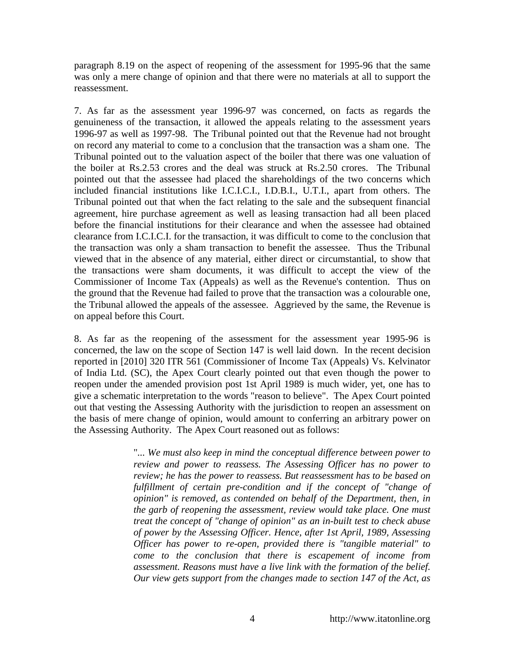paragraph 8.19 on the aspect of reopening of the assessment for 1995-96 that the same was only a mere change of opinion and that there were no materials at all to support the reassessment.

7. As far as the assessment year 1996-97 was concerned, on facts as regards the genuineness of the transaction, it allowed the appeals relating to the assessment years 1996-97 as well as 1997-98. The Tribunal pointed out that the Revenue had not brought on record any material to come to a conclusion that the transaction was a sham one. The Tribunal pointed out to the valuation aspect of the boiler that there was one valuation of the boiler at Rs.2.53 crores and the deal was struck at Rs.2.50 crores. The Tribunal pointed out that the assessee had placed the shareholdings of the two concerns which included financial institutions like I.C.I.C.I., I.D.B.I., U.T.I., apart from others. The Tribunal pointed out that when the fact relating to the sale and the subsequent financial agreement, hire purchase agreement as well as leasing transaction had all been placed before the financial institutions for their clearance and when the assessee had obtained clearance from I.C.I.C.I. for the transaction, it was difficult to come to the conclusion that the transaction was only a sham transaction to benefit the assessee. Thus the Tribunal viewed that in the absence of any material, either direct or circumstantial, to show that the transactions were sham documents, it was difficult to accept the view of the Commissioner of Income Tax (Appeals) as well as the Revenue's contention. Thus on the ground that the Revenue had failed to prove that the transaction was a colourable one, the Tribunal allowed the appeals of the assessee. Aggrieved by the same, the Revenue is on appeal before this Court.

8. As far as the reopening of the assessment for the assessment year 1995-96 is concerned, the law on the scope of Section 147 is well laid down. In the recent decision reported in [2010] 320 ITR 561 (Commissioner of Income Tax (Appeals) Vs. Kelvinator of India Ltd. (SC), the Apex Court clearly pointed out that even though the power to reopen under the amended provision post 1st April 1989 is much wider, yet, one has to give a schematic interpretation to the words "reason to believe". The Apex Court pointed out that vesting the Assessing Authority with the jurisdiction to reopen an assessment on the basis of mere change of opinion, would amount to conferring an arbitrary power on the Assessing Authority. The Apex Court reasoned out as follows:

> "*... We must also keep in mind the conceptual difference between power to review and power to reassess. The Assessing Officer has no power to review; he has the power to reassess. But reassessment has to be based on*  fulfillment of certain pre-condition and if the concept of "change of *opinion" is removed, as contended on behalf of the Department, then, in the garb of reopening the assessment, review would take place. One must treat the concept of "change of opinion" as an in-built test to check abuse of power by the Assessing Officer. Hence, after 1st April, 1989, Assessing Officer has power to re-open, provided there is "tangible material" to come to the conclusion that there is escapement of income from assessment. Reasons must have a live link with the formation of the belief. Our view gets support from the changes made to section 147 of the Act, as*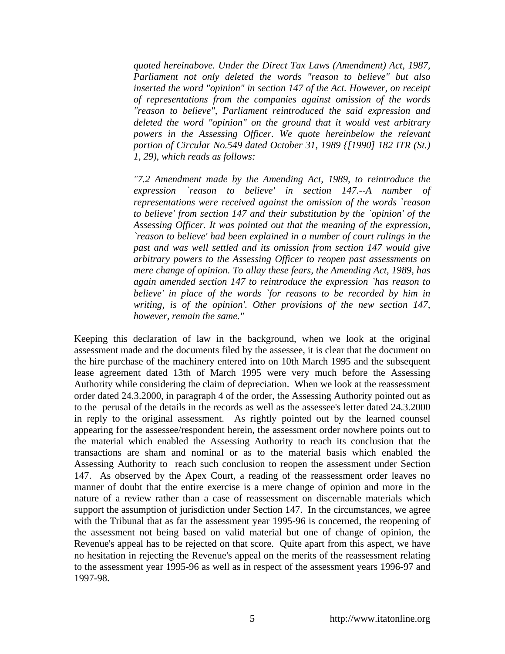*quoted hereinabove. Under the Direct Tax Laws (Amendment) Act, 1987, Parliament not only deleted the words "reason to believe" but also inserted the word "opinion" in section 147 of the Act. However, on receipt of representations from the companies against omission of the words "reason to believe", Parliament reintroduced the said expression and deleted the word "opinion" on the ground that it would vest arbitrary powers in the Assessing Officer. We quote hereinbelow the relevant portion of Circular No.549 dated October 31, 1989 {[1990] 182 ITR (St.) 1, 29), which reads as follows:* 

*"7.2 Amendment made by the Amending Act, 1989, to reintroduce the expression `reason to believe' in section 147.--A number of representations were received against the omission of the words `reason to believe' from section 147 and their substitution by the `opinion' of the Assessing Officer. It was pointed out that the meaning of the expression, `reason to believe' had been explained in a number of court rulings in the past and was well settled and its omission from section 147 would give arbitrary powers to the Assessing Officer to reopen past assessments on mere change of opinion. To allay these fears, the Amending Act, 1989, has again amended section 147 to reintroduce the expression `has reason to believe' in place of the words `for reasons to be recorded by him in writing, is of the opinion'. Other provisions of the new section 147, however, remain the same."*

Keeping this declaration of law in the background, when we look at the original assessment made and the documents filed by the assessee, it is clear that the document on the hire purchase of the machinery entered into on 10th March 1995 and the subsequent lease agreement dated 13th of March 1995 were very much before the Assessing Authority while considering the claim of depreciation. When we look at the reassessment order dated 24.3.2000, in paragraph 4 of the order, the Assessing Authority pointed out as to the perusal of the details in the records as well as the assessee's letter dated 24.3.2000 in reply to the original assessment. As rightly pointed out by the learned counsel appearing for the assessee/respondent herein, the assessment order nowhere points out to the material which enabled the Assessing Authority to reach its conclusion that the transactions are sham and nominal or as to the material basis which enabled the Assessing Authority to reach such conclusion to reopen the assessment under Section 147. As observed by the Apex Court, a reading of the reassessment order leaves no manner of doubt that the entire exercise is a mere change of opinion and more in the nature of a review rather than a case of reassessment on discernable materials which support the assumption of jurisdiction under Section 147. In the circumstances, we agree with the Tribunal that as far the assessment year 1995-96 is concerned, the reopening of the assessment not being based on valid material but one of change of opinion, the Revenue's appeal has to be rejected on that score. Quite apart from this aspect, we have no hesitation in rejecting the Revenue's appeal on the merits of the reassessment relating to the assessment year 1995-96 as well as in respect of the assessment years 1996-97 and 1997-98.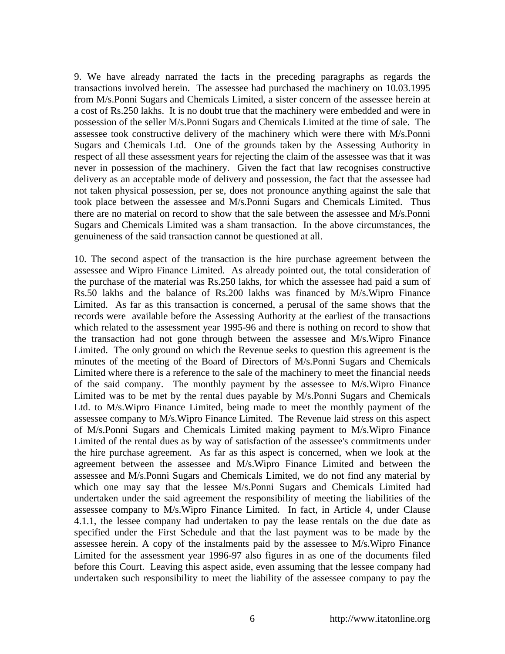9. We have already narrated the facts in the preceding paragraphs as regards the transactions involved herein. The assessee had purchased the machinery on 10.03.1995 from M/s.Ponni Sugars and Chemicals Limited, a sister concern of the assessee herein at a cost of Rs.250 lakhs. It is no doubt true that the machinery were embedded and were in possession of the seller M/s.Ponni Sugars and Chemicals Limited at the time of sale. The assessee took constructive delivery of the machinery which were there with M/s.Ponni Sugars and Chemicals Ltd. One of the grounds taken by the Assessing Authority in respect of all these assessment years for rejecting the claim of the assessee was that it was never in possession of the machinery. Given the fact that law recognises constructive delivery as an acceptable mode of delivery and possession, the fact that the assessee had not taken physical possession, per se, does not pronounce anything against the sale that took place between the assessee and M/s.Ponni Sugars and Chemicals Limited. Thus there are no material on record to show that the sale between the assessee and M/s.Ponni Sugars and Chemicals Limited was a sham transaction. In the above circumstances, the genuineness of the said transaction cannot be questioned at all.

10. The second aspect of the transaction is the hire purchase agreement between the assessee and Wipro Finance Limited. As already pointed out, the total consideration of the purchase of the material was Rs.250 lakhs, for which the assessee had paid a sum of Rs.50 lakhs and the balance of Rs.200 lakhs was financed by M/s.Wipro Finance Limited. As far as this transaction is concerned, a perusal of the same shows that the records were available before the Assessing Authority at the earliest of the transactions which related to the assessment year 1995-96 and there is nothing on record to show that the transaction had not gone through between the assessee and M/s.Wipro Finance Limited. The only ground on which the Revenue seeks to question this agreement is the minutes of the meeting of the Board of Directors of M/s.Ponni Sugars and Chemicals Limited where there is a reference to the sale of the machinery to meet the financial needs of the said company. The monthly payment by the assessee to M/s.Wipro Finance Limited was to be met by the rental dues payable by M/s.Ponni Sugars and Chemicals Ltd. to M/s.Wipro Finance Limited, being made to meet the monthly payment of the assessee company to M/s.Wipro Finance Limited. The Revenue laid stress on this aspect of M/s.Ponni Sugars and Chemicals Limited making payment to M/s.Wipro Finance Limited of the rental dues as by way of satisfaction of the assessee's commitments under the hire purchase agreement. As far as this aspect is concerned, when we look at the agreement between the assessee and M/s.Wipro Finance Limited and between the assessee and M/s.Ponni Sugars and Chemicals Limited, we do not find any material by which one may say that the lessee M/s.Ponni Sugars and Chemicals Limited had undertaken under the said agreement the responsibility of meeting the liabilities of the assessee company to M/s.Wipro Finance Limited. In fact, in Article 4, under Clause 4.1.1, the lessee company had undertaken to pay the lease rentals on the due date as specified under the First Schedule and that the last payment was to be made by the assessee herein. A copy of the instalments paid by the assessee to M/s.Wipro Finance Limited for the assessment year 1996-97 also figures in as one of the documents filed before this Court. Leaving this aspect aside, even assuming that the lessee company had undertaken such responsibility to meet the liability of the assessee company to pay the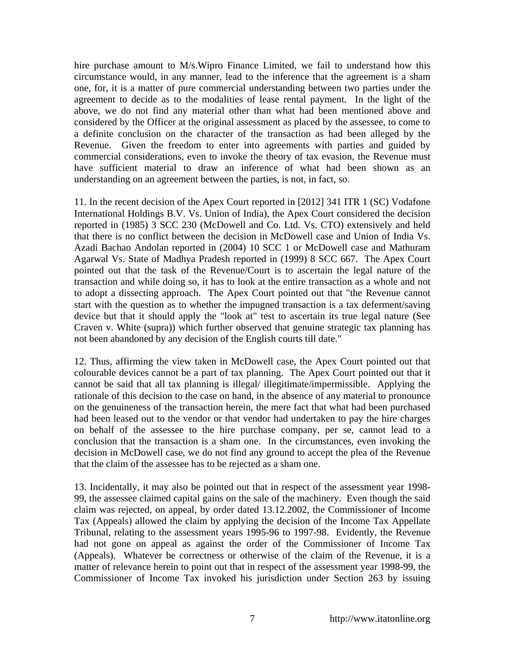hire purchase amount to M/s.Wipro Finance Limited, we fail to understand how this circumstance would, in any manner, lead to the inference that the agreement is a sham one, for, it is a matter of pure commercial understanding between two parties under the agreement to decide as to the modalities of lease rental payment. In the light of the above, we do not find any material other than what had been mentioned above and considered by the Officer at the original assessment as placed by the assessee, to come to a definite conclusion on the character of the transaction as had been alleged by the Revenue. Given the freedom to enter into agreements with parties and guided by commercial considerations, even to invoke the theory of tax evasion, the Revenue must have sufficient material to draw an inference of what had been shown as an understanding on an agreement between the parties, is not, in fact, so.

11. In the recent decision of the Apex Court reported in [2012] 341 ITR 1 (SC) Vodafone International Holdings B.V. Vs. Union of India), the Apex Court considered the decision reported in (1985) 3 SCC 230 (McDowell and Co. Ltd. Vs. CTO) extensively and held that there is no conflict between the decision in McDowell case and Union of India Vs. Azadi Bachao Andolan reported in (2004) 10 SCC 1 or McDowell case and Mathuram Agarwal Vs. State of Madhya Pradesh reported in (1999) 8 SCC 667. The Apex Court pointed out that the task of the Revenue/Court is to ascertain the legal nature of the transaction and while doing so, it has to look at the entire transaction as a whole and not to adopt a dissecting approach. The Apex Court pointed out that "the Revenue cannot start with the question as to whether the impugned transaction is a tax deferment/saving device but that it should apply the "look at" test to ascertain its true legal nature (See Craven v. White (supra)) which further observed that genuine strategic tax planning has not been abandoned by any decision of the English courts till date."

12. Thus, affirming the view taken in McDowell case, the Apex Court pointed out that colourable devices cannot be a part of tax planning. The Apex Court pointed out that it cannot be said that all tax planning is illegal/ illegitimate/impermissible. Applying the rationale of this decision to the case on hand, in the absence of any material to pronounce on the genuineness of the transaction herein, the mere fact that what had been purchased had been leased out to the vendor or that vendor had undertaken to pay the hire charges on behalf of the assessee to the hire purchase company, per se, cannot lead to a conclusion that the transaction is a sham one. In the circumstances, even invoking the decision in McDowell case, we do not find any ground to accept the plea of the Revenue that the claim of the assessee has to be rejected as a sham one.

13. Incidentally, it may also be pointed out that in respect of the assessment year 1998- 99, the assessee claimed capital gains on the sale of the machinery. Even though the said claim was rejected, on appeal, by order dated 13.12.2002, the Commissioner of Income Tax (Appeals) allowed the claim by applying the decision of the Income Tax Appellate Tribunal, relating to the assessment years 1995-96 to 1997-98. Evidently, the Revenue had not gone on appeal as against the order of the Commissioner of Income Tax (Appeals). Whatever be correctness or otherwise of the claim of the Revenue, it is a matter of relevance herein to point out that in respect of the assessment year 1998-99, the Commissioner of Income Tax invoked his jurisdiction under Section 263 by issuing